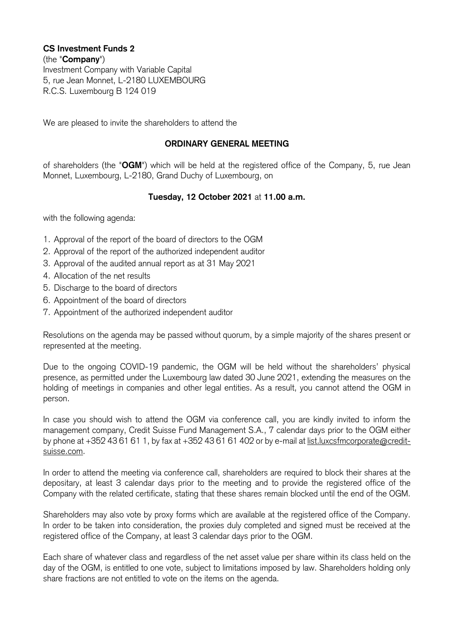## **CS Investment Funds 2** (the "**Company**") Investment Company with Variable Capital 5, rue Jean Monnet, L-2180 LUXEMBOURG R.C.S. Luxembourg B 124 019

We are pleased to invite the shareholders to attend the

## **ORDINARY GENERAL MEETING**

of shareholders (the "**OGM**") which will be held at the registered office of the Company, 5, rue Jean Monnet, Luxembourg, L-2180, Grand Duchy of Luxembourg, on

## **Tuesday, 12 October 2021** at **11.00 a.m.**

with the following agenda:

- 1. Approval of the report of the board of directors to the OGM
- 2. Approval of the report of the authorized independent auditor
- 3. Approval of the audited annual report as at 31 May 2021
- 4. Allocation of the net results
- 5. Discharge to the board of directors
- 6. Appointment of the board of directors
- 7. Appointment of the authorized independent auditor

Resolutions on the agenda may be passed without quorum, by a simple majority of the shares present or represented at the meeting.

Due to the ongoing COVID-19 pandemic, the OGM will be held without the shareholders' physical presence, as permitted under the Luxembourg law dated 30 June 2021, extending the measures on the holding of meetings in companies and other legal entities. As a result, you cannot attend the OGM in person.

In case you should wish to attend the OGM via conference call, you are kindly invited to inform the management company, Credit Suisse Fund Management S.A., 7 calendar days prior to the OGM either by phone at +352 43 61 61 1, by fax at +352 43 61 61 402 or by e-mail at list.luxcsfmcorporate@creditsuisse.com.

In order to attend the meeting via conference call, shareholders are required to block their shares at the depositary, at least 3 calendar days prior to the meeting and to provide the registered office of the Company with the related certificate, stating that these shares remain blocked until the end of the OGM.

Shareholders may also vote by proxy forms which are available at the registered office of the Company. In order to be taken into consideration, the proxies duly completed and signed must be received at the registered office of the Company, at least 3 calendar days prior to the OGM.

Each share of whatever class and regardless of the net asset value per share within its class held on the day of the OGM, is entitled to one vote, subject to limitations imposed by law. Shareholders holding only share fractions are not entitled to vote on the items on the agenda.